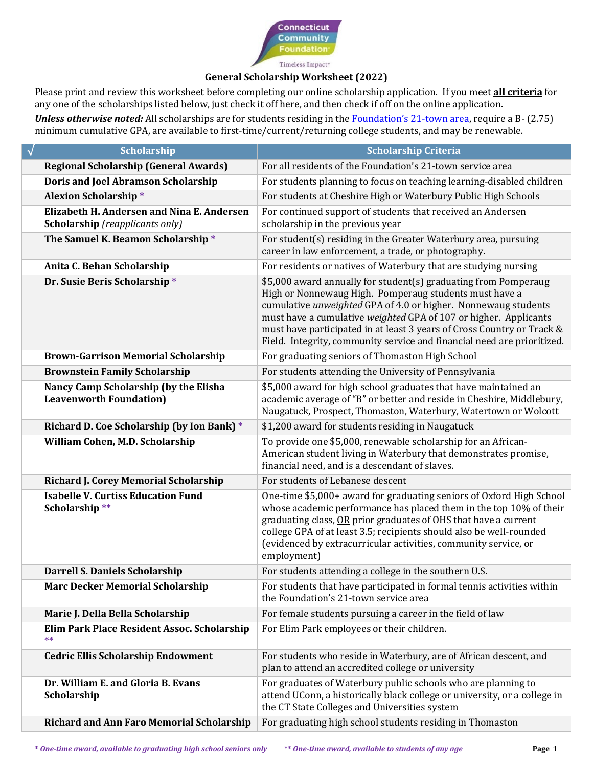

## **General Scholarship Worksheet (2022)**

Please print and review this worksheet before completing our online scholarship application. If you meet **all criteria** for any one of the scholarships listed below, just check it off here, and then check if off on the online application.

*Unless otherwise noted:* All scholarships are for students residing in the **Foundation's 21-town area**, require a B- (2.75) minimum cumulative GPA, are available to first-time/current/returning college students, and may be renewable.

| $\sqrt{}$ | <b>Scholarship</b>                                                                   | <b>Scholarship Criteria</b>                                                                                                                                                                                                                                                                                                                                                                                          |
|-----------|--------------------------------------------------------------------------------------|----------------------------------------------------------------------------------------------------------------------------------------------------------------------------------------------------------------------------------------------------------------------------------------------------------------------------------------------------------------------------------------------------------------------|
|           | <b>Regional Scholarship (General Awards)</b>                                         | For all residents of the Foundation's 21-town service area                                                                                                                                                                                                                                                                                                                                                           |
|           | <b>Doris and Joel Abramson Scholarship</b>                                           | For students planning to focus on teaching learning-disabled children                                                                                                                                                                                                                                                                                                                                                |
|           | <b>Alexion Scholarship*</b>                                                          | For students at Cheshire High or Waterbury Public High Schools                                                                                                                                                                                                                                                                                                                                                       |
|           | Elizabeth H. Andersen and Nina E. Andersen<br><b>Scholarship</b> (reapplicants only) | For continued support of students that received an Andersen<br>scholarship in the previous year                                                                                                                                                                                                                                                                                                                      |
|           | The Samuel K. Beamon Scholarship*                                                    | For student(s) residing in the Greater Waterbury area, pursuing<br>career in law enforcement, a trade, or photography.                                                                                                                                                                                                                                                                                               |
|           | Anita C. Behan Scholarship                                                           | For residents or natives of Waterbury that are studying nursing                                                                                                                                                                                                                                                                                                                                                      |
|           | Dr. Susie Beris Scholarship*                                                         | \$5,000 award annually for student(s) graduating from Pomperaug<br>High or Nonnewaug High. Pomperaug students must have a<br>cumulative unweighted GPA of 4.0 or higher. Nonnewaug students<br>must have a cumulative weighted GPA of 107 or higher. Applicants<br>must have participated in at least 3 years of Cross Country or Track &<br>Field. Integrity, community service and financial need are prioritized. |
|           | <b>Brown-Garrison Memorial Scholarship</b>                                           | For graduating seniors of Thomaston High School                                                                                                                                                                                                                                                                                                                                                                      |
|           | <b>Brownstein Family Scholarship</b>                                                 | For students attending the University of Pennsylvania                                                                                                                                                                                                                                                                                                                                                                |
|           | Nancy Camp Scholarship (by the Elisha<br><b>Leavenworth Foundation)</b>              | \$5,000 award for high school graduates that have maintained an<br>academic average of "B" or better and reside in Cheshire, Middlebury,<br>Naugatuck, Prospect, Thomaston, Waterbury, Watertown or Wolcott                                                                                                                                                                                                          |
|           | Richard D. Coe Scholarship (by Ion Bank) *                                           | \$1,200 award for students residing in Naugatuck                                                                                                                                                                                                                                                                                                                                                                     |
|           | William Cohen, M.D. Scholarship                                                      | To provide one \$5,000, renewable scholarship for an African-<br>American student living in Waterbury that demonstrates promise,<br>financial need, and is a descendant of slaves.                                                                                                                                                                                                                                   |
|           | <b>Richard J. Corey Memorial Scholarship</b>                                         | For students of Lebanese descent                                                                                                                                                                                                                                                                                                                                                                                     |
|           | <b>Isabelle V. Curtiss Education Fund</b><br>Scholarship**                           | One-time \$5,000+ award for graduating seniors of Oxford High School<br>whose academic performance has placed them in the top 10% of their<br>graduating class, OR prior graduates of OHS that have a current<br>college GPA of at least 3.5; recipients should also be well-rounded<br>(evidenced by extracurricular activities, community service, or<br>employment)                                               |
|           | <b>Darrell S. Daniels Scholarship</b>                                                | For students attending a college in the southern U.S.                                                                                                                                                                                                                                                                                                                                                                |
|           | <b>Marc Decker Memorial Scholarship</b>                                              | For students that have participated in formal tennis activities within<br>the Foundation's 21-town service area                                                                                                                                                                                                                                                                                                      |
|           | Marie J. Della Bella Scholarship                                                     | For female students pursuing a career in the field of law                                                                                                                                                                                                                                                                                                                                                            |
|           | Elim Park Place Resident Assoc. Scholarship<br>**                                    | For Elim Park employees or their children.                                                                                                                                                                                                                                                                                                                                                                           |
|           | <b>Cedric Ellis Scholarship Endowment</b>                                            | For students who reside in Waterbury, are of African descent, and<br>plan to attend an accredited college or university                                                                                                                                                                                                                                                                                              |
|           | Dr. William E. and Gloria B. Evans<br>Scholarship                                    | For graduates of Waterbury public schools who are planning to<br>attend UConn, a historically black college or university, or a college in<br>the CT State Colleges and Universities system                                                                                                                                                                                                                          |
|           | <b>Richard and Ann Faro Memorial Scholarship</b>                                     | For graduating high school students residing in Thomaston                                                                                                                                                                                                                                                                                                                                                            |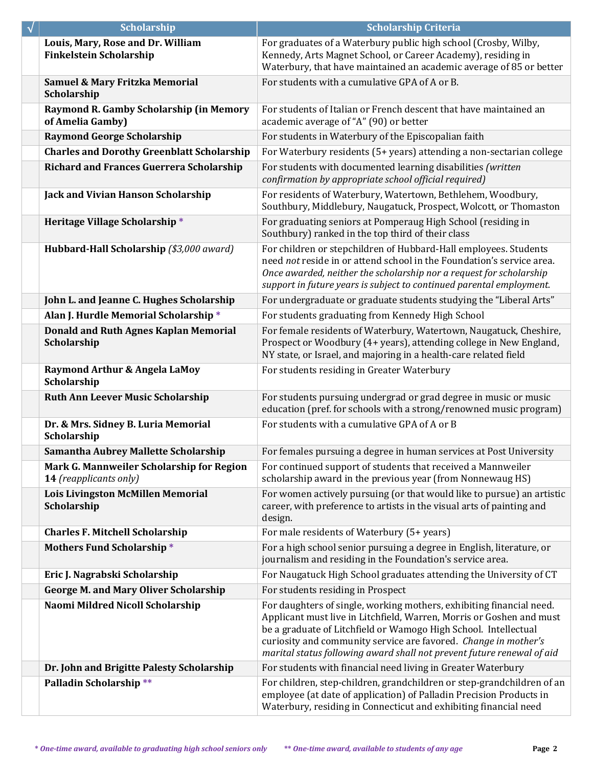| $\checkmark$ | <b>Scholarship</b>                                                  | <b>Scholarship Criteria</b>                                                                                                                                                                                                                                                                                                                                  |
|--------------|---------------------------------------------------------------------|--------------------------------------------------------------------------------------------------------------------------------------------------------------------------------------------------------------------------------------------------------------------------------------------------------------------------------------------------------------|
|              | Louis, Mary, Rose and Dr. William<br><b>Finkelstein Scholarship</b> | For graduates of a Waterbury public high school (Crosby, Wilby,<br>Kennedy, Arts Magnet School, or Career Academy), residing in<br>Waterbury, that have maintained an academic average of 85 or better                                                                                                                                                       |
|              | Samuel & Mary Fritzka Memorial<br>Scholarship                       | For students with a cumulative GPA of A or B.                                                                                                                                                                                                                                                                                                                |
|              | Raymond R. Gamby Scholarship (in Memory<br>of Amelia Gamby)         | For students of Italian or French descent that have maintained an<br>academic average of "A" (90) or better                                                                                                                                                                                                                                                  |
|              | <b>Raymond George Scholarship</b>                                   | For students in Waterbury of the Episcopalian faith                                                                                                                                                                                                                                                                                                          |
|              | <b>Charles and Dorothy Greenblatt Scholarship</b>                   | For Waterbury residents (5+ years) attending a non-sectarian college                                                                                                                                                                                                                                                                                         |
|              | <b>Richard and Frances Guerrera Scholarship</b>                     | For students with documented learning disabilities (written<br>confirmation by appropriate school official required)                                                                                                                                                                                                                                         |
|              | <b>Jack and Vivian Hanson Scholarship</b>                           | For residents of Waterbury, Watertown, Bethlehem, Woodbury,<br>Southbury, Middlebury, Naugatuck, Prospect, Wolcott, or Thomaston                                                                                                                                                                                                                             |
|              | Heritage Village Scholarship*                                       | For graduating seniors at Pomperaug High School (residing in<br>Southbury) ranked in the top third of their class                                                                                                                                                                                                                                            |
|              | Hubbard-Hall Scholarship (\$3,000 award)                            | For children or stepchildren of Hubbard-Hall employees. Students<br>need not reside in or attend school in the Foundation's service area.<br>Once awarded, neither the scholarship nor a request for scholarship<br>support in future years is subject to continued parental employment.                                                                     |
|              | John L. and Jeanne C. Hughes Scholarship                            | For undergraduate or graduate students studying the "Liberal Arts"                                                                                                                                                                                                                                                                                           |
|              | Alan J. Hurdle Memorial Scholarship*                                | For students graduating from Kennedy High School                                                                                                                                                                                                                                                                                                             |
|              | <b>Donald and Ruth Agnes Kaplan Memorial</b><br>Scholarship         | For female residents of Waterbury, Watertown, Naugatuck, Cheshire,<br>Prospect or Woodbury (4+ years), attending college in New England,<br>NY state, or Israel, and majoring in a health-care related field                                                                                                                                                 |
|              | Raymond Arthur & Angela LaMoy<br>Scholarship                        | For students residing in Greater Waterbury                                                                                                                                                                                                                                                                                                                   |
|              | <b>Ruth Ann Leever Music Scholarship</b>                            | For students pursuing undergrad or grad degree in music or music<br>education (pref. for schools with a strong/renowned music program)                                                                                                                                                                                                                       |
|              | Dr. & Mrs. Sidney B. Luria Memorial<br>Scholarship                  | For students with a cumulative GPA of A or B                                                                                                                                                                                                                                                                                                                 |
|              | Samantha Aubrey Mallette Scholarship                                | For females pursuing a degree in human services at Post University                                                                                                                                                                                                                                                                                           |
|              | Mark G. Mannweiler Scholarship for Region<br>14 (reapplicants only) | For continued support of students that received a Mannweiler<br>scholarship award in the previous year (from Nonnewaug HS)                                                                                                                                                                                                                                   |
|              | <b>Lois Livingston McMillen Memorial</b><br>Scholarship             | For women actively pursuing (or that would like to pursue) an artistic<br>career, with preference to artists in the visual arts of painting and<br>design.                                                                                                                                                                                                   |
|              | <b>Charles F. Mitchell Scholarship</b>                              | For male residents of Waterbury (5+ years)                                                                                                                                                                                                                                                                                                                   |
|              | <b>Mothers Fund Scholarship*</b>                                    | For a high school senior pursuing a degree in English, literature, or<br>journalism and residing in the Foundation's service area.                                                                                                                                                                                                                           |
|              | Eric J. Nagrabski Scholarship                                       | For Naugatuck High School graduates attending the University of CT                                                                                                                                                                                                                                                                                           |
|              | <b>George M. and Mary Oliver Scholarship</b>                        | For students residing in Prospect                                                                                                                                                                                                                                                                                                                            |
|              | Naomi Mildred Nicoll Scholarship                                    | For daughters of single, working mothers, exhibiting financial need.<br>Applicant must live in Litchfield, Warren, Morris or Goshen and must<br>be a graduate of Litchfield or Wamogo High School. Intellectual<br>curiosity and community service are favored. Change in mother's<br>marital status following award shall not prevent future renewal of aid |
|              | Dr. John and Brigitte Palesty Scholarship                           | For students with financial need living in Greater Waterbury                                                                                                                                                                                                                                                                                                 |
|              | Palladin Scholarship**                                              | For children, step-children, grandchildren or step-grandchildren of an<br>employee (at date of application) of Palladin Precision Products in<br>Waterbury, residing in Connecticut and exhibiting financial need                                                                                                                                            |